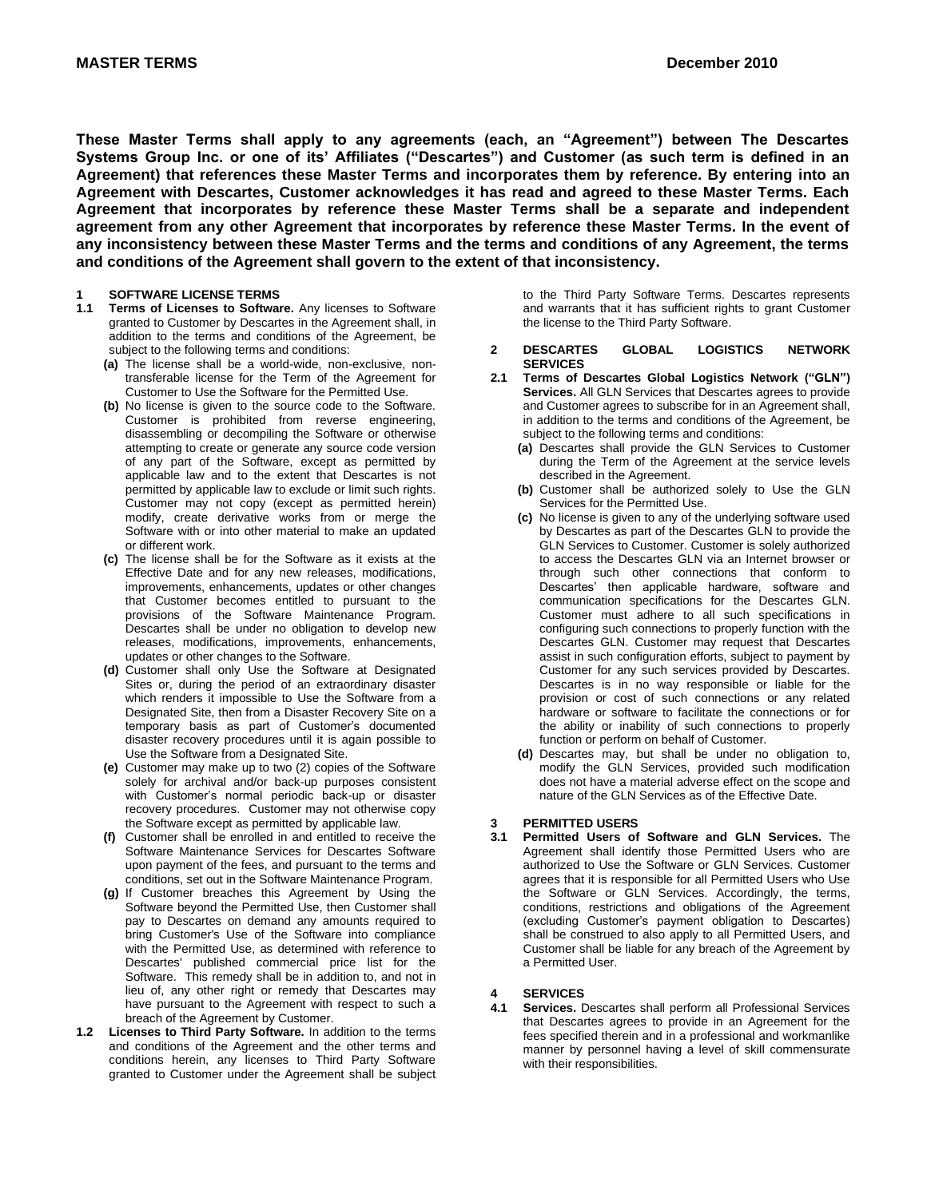**These Master Terms shall apply to any agreements (each, an "Agreement") between The Descartes Systems Group Inc. or one of its' Affiliates ("Descartes") and Customer (as such term is defined in an Agreement) that references these Master Terms and incorporates them by reference. By entering into an Agreement with Descartes, Customer acknowledges it has read and agreed to these Master Terms. Each Agreement that incorporates by reference these Master Terms shall be a separate and independent agreement from any other Agreement that incorporates by reference these Master Terms. In the event of any inconsistency between these Master Terms and the terms and conditions of any Agreement, the terms and conditions of the Agreement shall govern to the extent of that inconsistency.**

## **1 SOFTWARE LICENSE TERMS**

- Terms of Licenses to Software. Any licenses to Software granted to Customer by Descartes in the Agreement shall, in addition to the terms and conditions of the Agreement, be subject to the following terms and conditions:
	- **(a)** The license shall be a world-wide, non-exclusive, nontransferable license for the Term of the Agreement for Customer to Use the Software for the Permitted Use.
	- **(b)** No license is given to the source code to the Software. Customer is prohibited from reverse engineering, disassembling or decompiling the Software or otherwise attempting to create or generate any source code version of any part of the Software, except as permitted by applicable law and to the extent that Descartes is not permitted by applicable law to exclude or limit such rights. Customer may not copy (except as permitted herein) modify, create derivative works from or merge the Software with or into other material to make an updated or different work.
	- **(c)** The license shall be for the Software as it exists at the Effective Date and for any new releases, modifications, improvements, enhancements, updates or other changes that Customer becomes entitled to pursuant to the provisions of the Software Maintenance Program. Descartes shall be under no obligation to develop new releases, modifications, improvements, enhancements, updates or other changes to the Software.
	- **(d)** Customer shall only Use the Software at Designated Sites or, during the period of an extraordinary disaster which renders it impossible to Use the Software from a Designated Site, then from a Disaster Recovery Site on a temporary basis as part of Customer's documented disaster recovery procedures until it is again possible to Use the Software from a Designated Site.
	- **(e)** Customer may make up to two (2) copies of the Software solely for archival and/or back-up purposes consistent with Customer's normal periodic back-up or disaster recovery procedures. Customer may not otherwise copy the Software except as permitted by applicable law.
	- **(f)** Customer shall be enrolled in and entitled to receive the Software Maintenance Services for Descartes Software upon payment of the fees, and pursuant to the terms and conditions, set out in the Software Maintenance Program.
	- **(g)** If Customer breaches this Agreement by Using the Software beyond the Permitted Use, then Customer shall pay to Descartes on demand any amounts required to bring Customer's Use of the Software into compliance with the Permitted Use, as determined with reference to Descartes' published commercial price list for the Software. This remedy shall be in addition to, and not in lieu of, any other right or remedy that Descartes may have pursuant to the Agreement with respect to such a breach of the Agreement by Customer.
- **1.2 Licenses to Third Party Software.** In addition to the terms and conditions of the Agreement and the other terms and conditions herein, any licenses to Third Party Software granted to Customer under the Agreement shall be subject

to the Third Party Software Terms. Descartes represents and warrants that it has sufficient rights to grant Customer the license to the Third Party Software.

- **2 DESCARTES GLOBAL LOGISTICS NETWORK SERVICES**
- **2.1 Terms of Descartes Global Logistics Network ("GLN") Services.** All GLN Services that Descartes agrees to provide and Customer agrees to subscribe for in an Agreement shall, in addition to the terms and conditions of the Agreement, be subject to the following terms and conditions:
	- **(a)** Descartes shall provide the GLN Services to Customer during the Term of the Agreement at the service levels described in the Agreement.
	- **(b)** Customer shall be authorized solely to Use the GLN Services for the Permitted Use.
	- **(c)** No license is given to any of the underlying software used by Descartes as part of the Descartes GLN to provide the GLN Services to Customer. Customer is solely authorized to access the Descartes GLN via an Internet browser or through such other connections that conform to Descartes' then applicable hardware, software and communication specifications for the Descartes GLN. Customer must adhere to all such specifications in configuring such connections to properly function with the Descartes GLN. Customer may request that Descartes assist in such configuration efforts, subject to payment by Customer for any such services provided by Descartes. Descartes is in no way responsible or liable for the provision or cost of such connections or any related hardware or software to facilitate the connections or for the ability or inability of such connections to properly function or perform on behalf of Customer.
	- **(d)** Descartes may, but shall be under no obligation to, modify the GLN Services, provided such modification does not have a material adverse effect on the scope and nature of the GLN Services as of the Effective Date.

## **3 PERMITTED USERS**

**3.1 Permitted Users of Software and GLN Services.** The Agreement shall identify those Permitted Users who are authorized to Use the Software or GLN Services. Customer agrees that it is responsible for all Permitted Users who Use the Software or GLN Services. Accordingly, the terms, conditions, restrictions and obligations of the Agreement (excluding Customer's payment obligation to Descartes) shall be construed to also apply to all Permitted Users, and Customer shall be liable for any breach of the Agreement by a Permitted User.

## **4 SERVICES**

**4.1 Services.** Descartes shall perform all Professional Services that Descartes agrees to provide in an Agreement for the fees specified therein and in a professional and workmanlike manner by personnel having a level of skill commensurate with their responsibilities.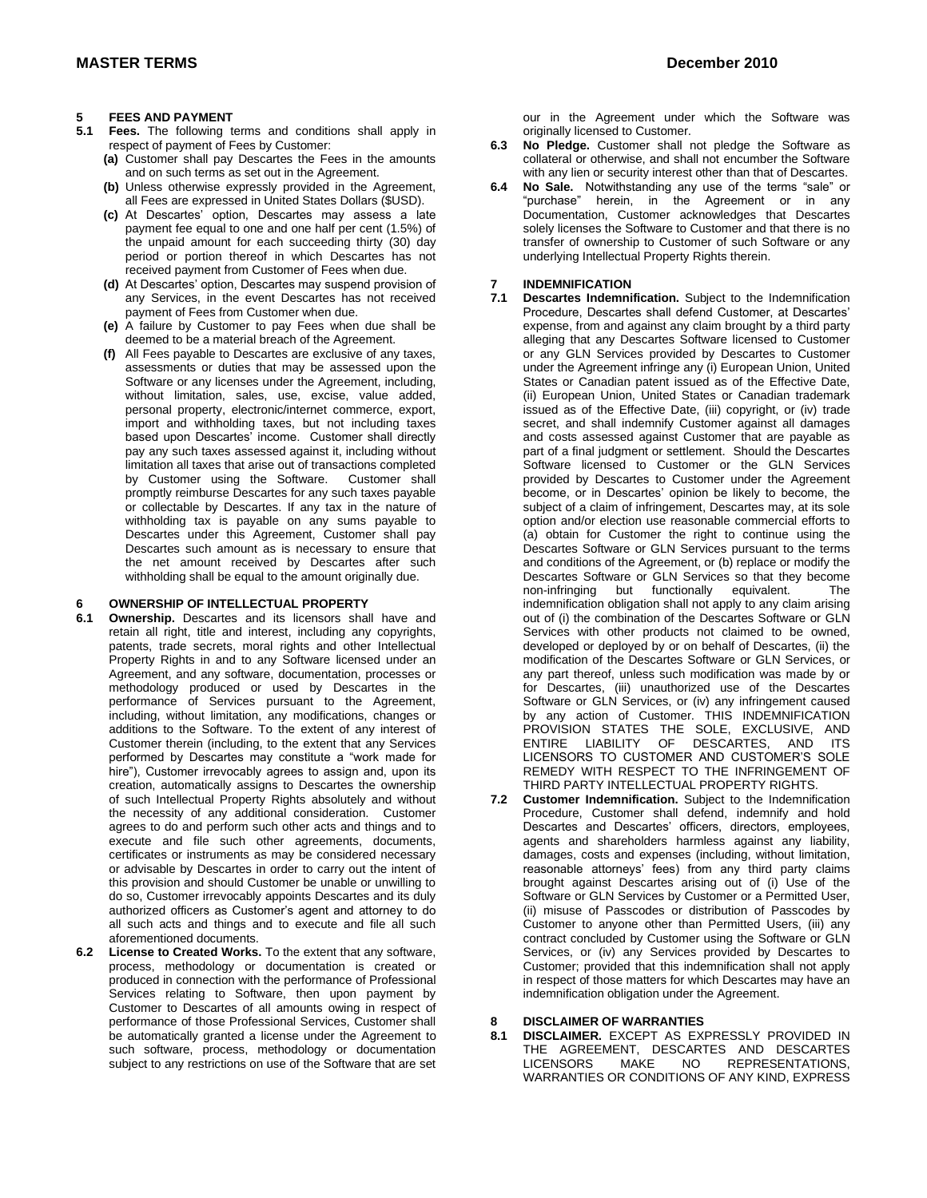## **5 FEES AND PAYMENT**

- **5.1 Fees.** The following terms and conditions shall apply in respect of payment of Fees by Customer:
	- **(a)** Customer shall pay Descartes the Fees in the amounts and on such terms as set out in the Agreement.
	- **(b)** Unless otherwise expressly provided in the Agreement, all Fees are expressed in United States Dollars (\$USD).
	- **(c)** At Descartes' option, Descartes may assess a late payment fee equal to one and one half per cent (1.5%) of the unpaid amount for each succeeding thirty (30) day period or portion thereof in which Descartes has not received payment from Customer of Fees when due.
	- **(d)** At Descartes' option, Descartes may suspend provision of any Services, in the event Descartes has not received payment of Fees from Customer when due.
	- **(e)** A failure by Customer to pay Fees when due shall be deemed to be a material breach of the Agreement.
	- **(f)** All Fees payable to Descartes are exclusive of any taxes, assessments or duties that may be assessed upon the Software or any licenses under the Agreement, including, without limitation, sales, use, excise, value added, personal property, electronic/internet commerce, export, import and withholding taxes, but not including taxes based upon Descartes' income. Customer shall directly pay any such taxes assessed against it, including without limitation all taxes that arise out of transactions completed by Customer using the Software. Customer shall promptly reimburse Descartes for any such taxes payable or collectable by Descartes. If any tax in the nature of withholding tax is payable on any sums payable to Descartes under this Agreement, Customer shall pay Descartes such amount as is necessary to ensure that the net amount received by Descartes after such withholding shall be equal to the amount originally due.

#### **6 OWNERSHIP OF INTELLECTUAL PROPERTY**

- **6.1 Ownership.** Descartes and its licensors shall have and retain all right, title and interest, including any copyrights, patents, trade secrets, moral rights and other Intellectual Property Rights in and to any Software licensed under an Agreement, and any software, documentation, processes or methodology produced or used by Descartes in the performance of Services pursuant to the Agreement, including, without limitation, any modifications, changes or additions to the Software. To the extent of any interest of Customer therein (including, to the extent that any Services performed by Descartes may constitute a "work made for hire"), Customer irrevocably agrees to assign and, upon its creation, automatically assigns to Descartes the ownership of such Intellectual Property Rights absolutely and without the necessity of any additional consideration. Customer agrees to do and perform such other acts and things and to execute and file such other agreements, documents, certificates or instruments as may be considered necessary or advisable by Descartes in order to carry out the intent of this provision and should Customer be unable or unwilling to do so, Customer irrevocably appoints Descartes and its duly authorized officers as Customer's agent and attorney to do all such acts and things and to execute and file all such aforementioned documents.
- **6.2 License to Created Works.** To the extent that any software, process, methodology or documentation is created or produced in connection with the performance of Professional Services relating to Software, then upon payment by Customer to Descartes of all amounts owing in respect of performance of those Professional Services, Customer shall be automatically granted a license under the Agreement to such software, process, methodology or documentation subject to any restrictions on use of the Software that are set

our in the Agreement under which the Software was

- originally licensed to Customer. **6.3 No Pledge.** Customer shall not pledge the Software as collateral or otherwise, and shall not encumber the Software with any lien or security interest other than that of Descartes.
- **6.4 No Sale.** Notwithstanding any use of the terms "sale" or "purchase" herein, in the Agreement or in any Documentation, Customer acknowledges that Descartes solely licenses the Software to Customer and that there is no transfer of ownership to Customer of such Software or any underlying Intellectual Property Rights therein.

### **7 INDEMNIFICATION**

- **7.1 Descartes Indemnification.** Subject to the Indemnification Procedure, Descartes shall defend Customer, at Descartes' expense, from and against any claim brought by a third party alleging that any Descartes Software licensed to Customer or any GLN Services provided by Descartes to Customer under the Agreement infringe any (i) European Union, United States or Canadian patent issued as of the Effective Date, (ii) European Union, United States or Canadian trademark issued as of the Effective Date, (iii) copyright, or (iv) trade secret, and shall indemnify Customer against all damages and costs assessed against Customer that are payable as part of a final judgment or settlement. Should the Descartes Software licensed to Customer or the GLN Services provided by Descartes to Customer under the Agreement become, or in Descartes' opinion be likely to become, the subject of a claim of infringement, Descartes may, at its sole option and/or election use reasonable commercial efforts to (a) obtain for Customer the right to continue using the Descartes Software or GLN Services pursuant to the terms and conditions of the Agreement, or (b) replace or modify the Descartes Software or GLN Services so that they become non-infringing but functionally equivalent. The indemnification obligation shall not apply to any claim arising out of (i) the combination of the Descartes Software or GLN Services with other products not claimed to be owned, developed or deployed by or on behalf of Descartes, (ii) the modification of the Descartes Software or GLN Services, or any part thereof, unless such modification was made by or for Descartes, (iii) unauthorized use of the Descartes Software or GLN Services, or (iv) any infringement caused by any action of Customer. THIS INDEMNIFICATION PROVISION STATES THE SOLE, EXCLUSIVE, AND ENTIRE LIABILITY OF DESCARTES, AND ITS LICENSORS TO CUSTOMER AND CUSTOMER'S SOLE REMEDY WITH RESPECT TO THE INFRINGEMENT OF THIRD PARTY INTELLECTUAL PROPERTY RIGHTS.
- **7.2 Customer Indemnification.** Subject to the Indemnification Procedure, Customer shall defend, indemnify and hold Descartes and Descartes' officers, directors, employees, agents and shareholders harmless against any liability, damages, costs and expenses (including, without limitation, reasonable attorneys' fees) from any third party claims brought against Descartes arising out of (i) Use of the Software or GLN Services by Customer or a Permitted User, (ii) misuse of Passcodes or distribution of Passcodes by Customer to anyone other than Permitted Users, (iii) any contract concluded by Customer using the Software or GLN Services, or (iv) any Services provided by Descartes to Customer; provided that this indemnification shall not apply in respect of those matters for which Descartes may have an indemnification obligation under the Agreement.

## **8 DISCLAIMER OF WARRANTIES**

**8.1 DISCLAIMER.** EXCEPT AS EXPRESSLY PROVIDED IN THE AGREEMENT, DESCARTES AND DESCARTES<br>LICENSORS MAKE NO REPRESENTATIONS. REPRESENTATIONS. WARRANTIES OR CONDITIONS OF ANY KIND, EXPRESS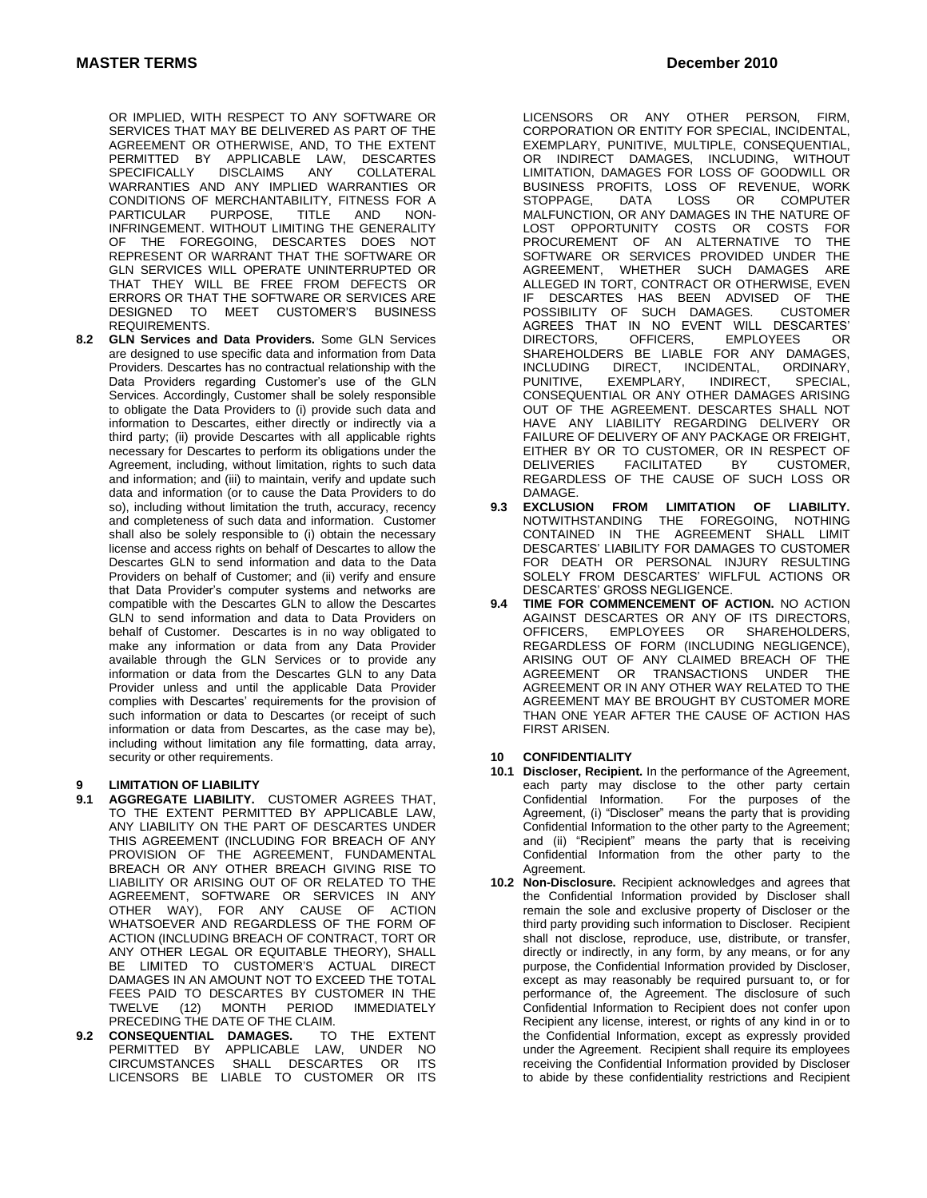OR IMPLIED, WITH RESPECT TO ANY SOFTWARE OR SERVICES THAT MAY BE DELIVERED AS PART OF THE AGREEMENT OR OTHERWISE, AND, TO THE EXTENT PERMITTED BY APPLICABLE LAW, DESCARTES<br>SPECIFICALLY DISCLAIMS ANY COLLATERAL **SPECIFICALLY** WARRANTIES AND ANY IMPLIED WARRANTIES OR CONDITIONS OF MERCHANTABILITY, FITNESS FOR A PARTICULAR PURPOSE, TITLE AND NON-INFRINGEMENT. WITHOUT LIMITING THE GENERALITY OF THE FOREGOING, DESCARTES DOES NOT REPRESENT OR WARRANT THAT THE SOFTWARE OR GLN SERVICES WILL OPERATE UNINTERRUPTED OR THAT THEY WILL BE FREE FROM DEFECTS OR ERRORS OR THAT THE SOFTWARE OR SERVICES ARE DESIGNED TO MEET CUSTOMER'S BUSINESS REQUIREMENTS.

**8.2 GLN Services and Data Providers.** Some GLN Services are designed to use specific data and information from Data Providers. Descartes has no contractual relationship with the Data Providers regarding Customer's use of the GLN Services. Accordingly, Customer shall be solely responsible to obligate the Data Providers to (i) provide such data and information to Descartes, either directly or indirectly via a third party; (ii) provide Descartes with all applicable rights necessary for Descartes to perform its obligations under the Agreement, including, without limitation, rights to such data and information; and (iii) to maintain, verify and update such data and information (or to cause the Data Providers to do so), including without limitation the truth, accuracy, recency and completeness of such data and information. Customer shall also be solely responsible to (i) obtain the necessary license and access rights on behalf of Descartes to allow the Descartes GLN to send information and data to the Data Providers on behalf of Customer; and (ii) verify and ensure that Data Provider's computer systems and networks are compatible with the Descartes GLN to allow the Descartes GLN to send information and data to Data Providers on behalf of Customer. Descartes is in no way obligated to make any information or data from any Data Provider available through the GLN Services or to provide any information or data from the Descartes GLN to any Data Provider unless and until the applicable Data Provider complies with Descartes' requirements for the provision of such information or data to Descartes (or receipt of such information or data from Descartes, as the case may be), including without limitation any file formatting, data array, security or other requirements.

# **9 LIMITATION OF LIABILITY**

- **9.1 AGGREGATE LIABILITY.** CUSTOMER AGREES THAT, TO THE EXTENT PERMITTED BY APPLICABLE LAW, ANY LIABILITY ON THE PART OF DESCARTES UNDER THIS AGREEMENT (INCLUDING FOR BREACH OF ANY PROVISION OF THE AGREEMENT, FUNDAMENTAL BREACH OR ANY OTHER BREACH GIVING RISE TO LIABILITY OR ARISING OUT OF OR RELATED TO THE AGREEMENT, SOFTWARE OR SERVICES IN ANY<br>OTHER WAY). FOR ANY CAUSE OF ACTION OTHER WAY), FOR ANY CAUSE OF WHATSOEVER AND REGARDLESS OF THE FORM OF ACTION (INCLUDING BREACH OF CONTRACT, TORT OR ANY OTHER LEGAL OR EQUITABLE THEORY), SHALL BE LIMITED TO CUSTOMER'S ACTUAL DIRECT DAMAGES IN AN AMOUNT NOT TO EXCEED THE TOTAL FEES PAID TO DESCARTES BY CUSTOMER IN THE<br>TWELVE (12) MONTH PERIOD IMMEDIATELY MONTH PERIOD PRECEDING THE DATE OF THE CLAIM.
- **9.2 CONSEQUENTIAL DAMAGES.** TO THE EXTENT PERMITTED BY APPLICABLE LAW, UNDER NO CIRCUMSTANCES SHALL DESCARTES OR LICENSORS BE LIABLE TO CUSTOMER OR ITS

LICENSORS OR ANY OTHER PERSON, FIRM, CORPORATION OR ENTITY FOR SPECIAL, INCIDENTAL, EXEMPLARY, PUNITIVE, MULTIPLE, CONSEQUENTIAL, OR INDIRECT DAMAGES, INCLUDING, WITHOUT LIMITATION, DAMAGES FOR LOSS OF GOODWILL OR BUSINESS PROFITS, LOSS OF REVENUE, WORK<br>STOPPAGE, DATA LOSS OR COMPUTER DATA LOSS OR COMPUTER MALFUNCTION, OR ANY DAMAGES IN THE NATURE OF<br>LOST OPPORTUNITY COSTS OR COSTS FOR LOST OPPORTUNITY COSTS OR COSTS PROCUREMENT OF AN ALTERNATIVE TO THE SOFTWARE OR SERVICES PROVIDED UNDER THE AGREEMENT, WHETHER SUCH DAMAGES ARE ALLEGED IN TORT, CONTRACT OR OTHERWISE, EVEN IF DESCARTES HAS BEEN ADVISED OF THE POSSIBILITY OF SUCH DAMAGES. CUSTOMER AGREES THAT IN NO EVENT WILL DESCARTES'<br>DIRECTORS, OFFICERS, EMPLOYEES OR **EMPLOYEES** SHAREHOLDERS BE LIABLE FOR ANY DAMAGES,<br>INCLUDING DIRECT, INCIDENTAL, ORDINARY, DIRECT, INCIDENTAL,<br>EXEMPLARY, INDIRECT, PUNITIVE, EXEMPLARY, INDIRECT, SPECIAL, CONSEQUENTIAL OR ANY OTHER DAMAGES ARISING OUT OF THE AGREEMENT. DESCARTES SHALL NOT HAVE ANY LIABILITY REGARDING DELIVERY OR FAILURE OF DELIVERY OF ANY PACKAGE OR FREIGHT, EITHER BY OR TO CUSTOMER, OR IN RESPECT OF<br>DELIVERIES FACILITATED BY CUSTOMER. FACILITATED REGARDLESS OF THE CAUSE OF SUCH LOSS OR DAMAGE.<br>**9.3 EXCLUSION** 

- **9.3 EXCLUSION FROM LIMITATION OF LIABILITY.** THE FOREGOING, NOTHING CONTAINED IN THE AGREEMENT SHALL LIMIT DESCARTES' LIABILITY FOR DAMAGES TO CUSTOMER FOR DEATH OR PERSONAL INJURY RESULTING SOLELY FROM DESCARTES' WIFLFUL ACTIONS OR DESCARTES' GROSS NEGLIGENCE.
- **9.4 TIME FOR COMMENCEMENT OF ACTION.** NO ACTION AGAINST DESCARTES OR ANY OF ITS DIRECTORS,<br>OFFICERS. EMPLOYEES OR SHAREHOLDERS. EMPLOYEES OR REGARDLESS OF FORM (INCLUDING NEGLIGENCE), ARISING OUT OF ANY CLAIMED BREACH OF THE AGREEMENT OR TRANSACTIONS UNDER THE AGREEMENT OR IN ANY OTHER WAY RELATED TO THE AGREEMENT MAY BE BROUGHT BY CUSTOMER MORE THAN ONE YEAR AFTER THE CAUSE OF ACTION HAS FIRST ARISEN.

## **10 CONFIDENTIALITY**

- **10.1 Discloser, Recipient.** In the performance of the Agreement, each party may disclose to the other party certain Confidential Information. For the purposes of the Agreement, (i) "Discloser" means the party that is providing Confidential Information to the other party to the Agreement; and (ii) "Recipient" means the party that is receiving Confidential Information from the other party to the Agreement.
- **10.2 Non-Disclosure.** Recipient acknowledges and agrees that the Confidential Information provided by Discloser shall remain the sole and exclusive property of Discloser or the third party providing such information to Discloser. Recipient shall not disclose, reproduce, use, distribute, or transfer, directly or indirectly, in any form, by any means, or for any purpose, the Confidential Information provided by Discloser, except as may reasonably be required pursuant to, or for performance of, the Agreement. The disclosure of such Confidential Information to Recipient does not confer upon Recipient any license, interest, or rights of any kind in or to the Confidential Information, except as expressly provided under the Agreement. Recipient shall require its employees receiving the Confidential Information provided by Discloser to abide by these confidentiality restrictions and Recipient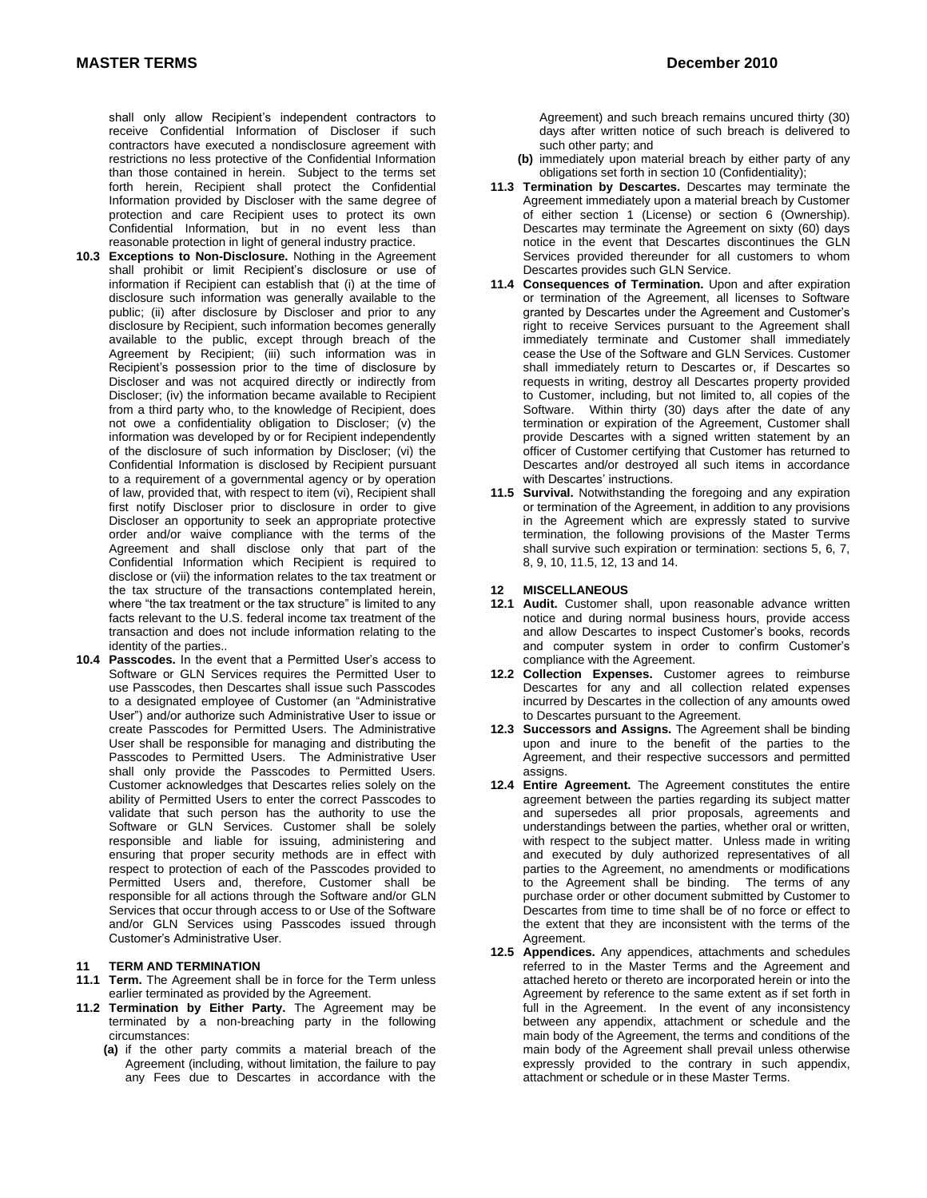shall only allow Recipient's independent contractors to receive Confidential Information of Discloser if such contractors have executed a nondisclosure agreement with restrictions no less protective of the Confidential Information than those contained in herein. Subject to the terms set forth herein, Recipient shall protect the Confidential Information provided by Discloser with the same degree of protection and care Recipient uses to protect its own Confidential Information, but in no event less than reasonable protection in light of general industry practice.

- **10.3 Exceptions to Non-Disclosure.** Nothing in the Agreement shall prohibit or limit Recipient's disclosure or use of information if Recipient can establish that (i) at the time of disclosure such information was generally available to the public; (ii) after disclosure by Discloser and prior to any disclosure by Recipient, such information becomes generally available to the public, except through breach of the Agreement by Recipient; (iii) such information was in Recipient's possession prior to the time of disclosure by Discloser and was not acquired directly or indirectly from Discloser; (iv) the information became available to Recipient from a third party who, to the knowledge of Recipient, does not owe a confidentiality obligation to Discloser; (v) the information was developed by or for Recipient independently of the disclosure of such information by Discloser; (vi) the Confidential Information is disclosed by Recipient pursuant to a requirement of a governmental agency or by operation of law, provided that, with respect to item (vi), Recipient shall first notify Discloser prior to disclosure in order to give Discloser an opportunity to seek an appropriate protective order and/or waive compliance with the terms of the Agreement and shall disclose only that part of the Confidential Information which Recipient is required to disclose or (vii) the information relates to the tax treatment or the tax structure of the transactions contemplated herein, where "the tax treatment or the tax structure" is limited to any facts relevant to the U.S. federal income tax treatment of the transaction and does not include information relating to the identity of the parties..
- **10.4 Passcodes.** In the event that a Permitted User's access to Software or GLN Services requires the Permitted User to use Passcodes, then Descartes shall issue such Passcodes to a designated employee of Customer (an "Administrative User") and/or authorize such Administrative User to issue or create Passcodes for Permitted Users. The Administrative User shall be responsible for managing and distributing the Passcodes to Permitted Users. The Administrative User shall only provide the Passcodes to Permitted Users. Customer acknowledges that Descartes relies solely on the ability of Permitted Users to enter the correct Passcodes to validate that such person has the authority to use the Software or GLN Services. Customer shall be solely responsible and liable for issuing, administering and ensuring that proper security methods are in effect with respect to protection of each of the Passcodes provided to Permitted Users and, therefore, Customer shall be responsible for all actions through the Software and/or GLN Services that occur through access to or Use of the Software and/or GLN Services using Passcodes issued through Customer's Administrative User.

## **11 TERM AND TERMINATION**

- **11.1 Term.** The Agreement shall be in force for the Term unless earlier terminated as provided by the Agreement.
- **11.2 Termination by Either Party.** The Agreement may be terminated by a non-breaching party in the following circumstances:
	- **(a)** if the other party commits a material breach of the Agreement (including, without limitation, the failure to pay any Fees due to Descartes in accordance with the

Agreement) and such breach remains uncured thirty (30) days after written notice of such breach is delivered to such other party; and

- **(b)** immediately upon material breach by either party of any obligations set forth in section 10 (Confidentiality);
- **11.3 Termination by Descartes.** Descartes may terminate the Agreement immediately upon a material breach by Customer of either section 1 (License) or section 6 (Ownership). Descartes may terminate the Agreement on sixty (60) days notice in the event that Descartes discontinues the GLN Services provided thereunder for all customers to whom Descartes provides such GLN Service.
- **11.4 Consequences of Termination.** Upon and after expiration or termination of the Agreement, all licenses to Software granted by Descartes under the Agreement and Customer's right to receive Services pursuant to the Agreement shall immediately terminate and Customer shall immediately cease the Use of the Software and GLN Services. Customer shall immediately return to Descartes or, if Descartes so requests in writing, destroy all Descartes property provided to Customer, including, but not limited to, all copies of the Software. Within thirty (30) days after the date of any termination or expiration of the Agreement, Customer shall provide Descartes with a signed written statement by an officer of Customer certifying that Customer has returned to Descartes and/or destroyed all such items in accordance with Descartes' instructions.
- **11.5 Survival.** Notwithstanding the foregoing and any expiration or termination of the Agreement, in addition to any provisions in the Agreement which are expressly stated to survive termination, the following provisions of the Master Terms shall survive such expiration or termination: sections 5, 6, 7, 8, 9, 10, 11.5, 12, 13 and 14.

### **12 MISCELLANEOUS**

- **12.1 Audit.** Customer shall, upon reasonable advance written notice and during normal business hours, provide access and allow Descartes to inspect Customer's books, records and computer system in order to confirm Customer's compliance with the Agreement.
- **12.2 Collection Expenses.** Customer agrees to reimburse Descartes for any and all collection related expenses incurred by Descartes in the collection of any amounts owed to Descartes pursuant to the Agreement.
- **12.3 Successors and Assigns.** The Agreement shall be binding upon and inure to the benefit of the parties to the Agreement, and their respective successors and permitted assigns.
- **12.4 Entire Agreement.** The Agreement constitutes the entire agreement between the parties regarding its subject matter and supersedes all prior proposals, agreements and understandings between the parties, whether oral or written, with respect to the subject matter. Unless made in writing and executed by duly authorized representatives of all parties to the Agreement, no amendments or modifications to the Agreement shall be binding. The terms of any purchase order or other document submitted by Customer to Descartes from time to time shall be of no force or effect to the extent that they are inconsistent with the terms of the Agreement.
- **12.5 Appendices.** Any appendices, attachments and schedules referred to in the Master Terms and the Agreement and attached hereto or thereto are incorporated herein or into the Agreement by reference to the same extent as if set forth in full in the Agreement. In the event of any inconsistency between any appendix, attachment or schedule and the main body of the Agreement, the terms and conditions of the main body of the Agreement shall prevail unless otherwise expressly provided to the contrary in such appendix, attachment or schedule or in these Master Terms.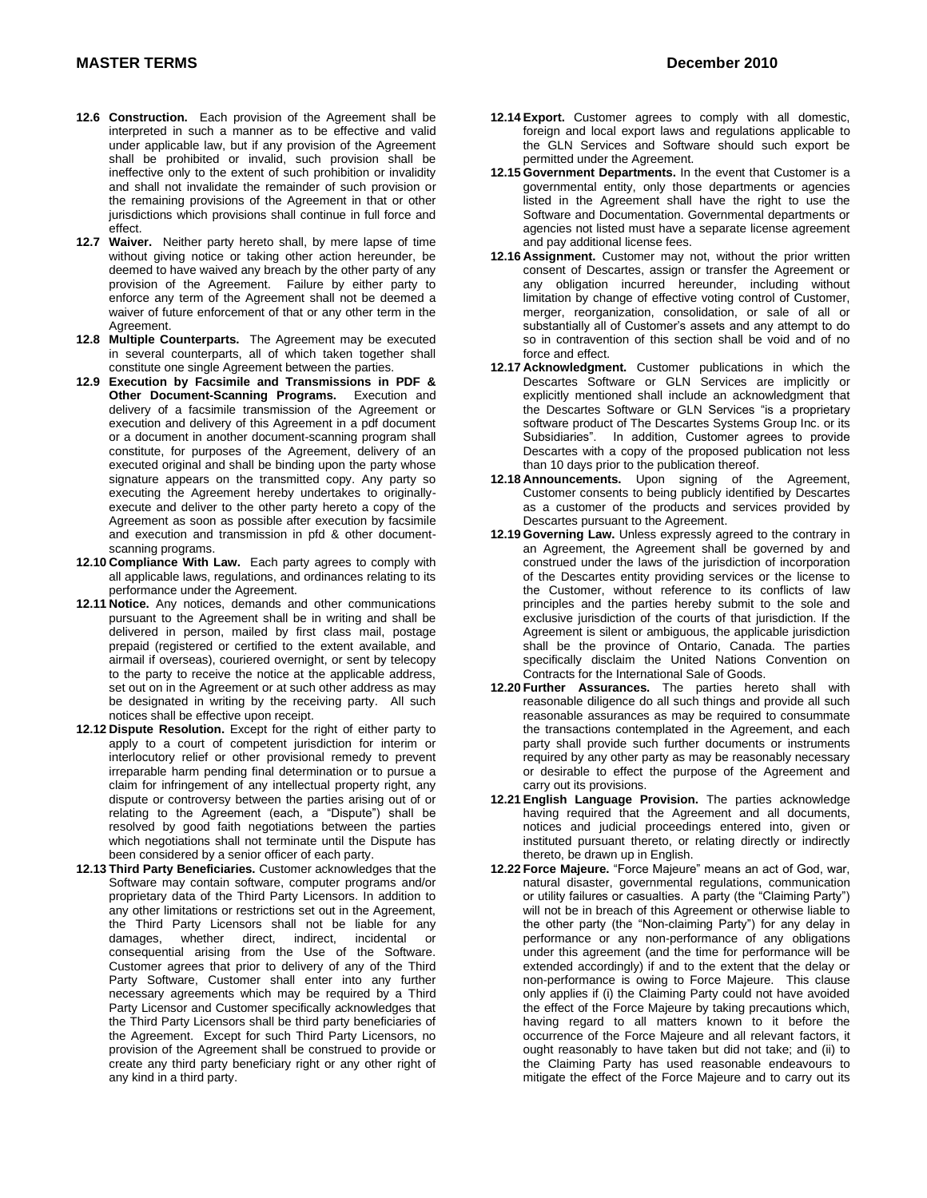- **12.6 Construction.** Each provision of the Agreement shall be interpreted in such a manner as to be effective and valid under applicable law, but if any provision of the Agreement shall be prohibited or invalid, such provision shall be ineffective only to the extent of such prohibition or invalidity and shall not invalidate the remainder of such provision or the remaining provisions of the Agreement in that or other jurisdictions which provisions shall continue in full force and effect.
- **12.7 Waiver.** Neither party hereto shall, by mere lapse of time without giving notice or taking other action hereunder, be deemed to have waived any breach by the other party of any provision of the Agreement. Failure by either party to enforce any term of the Agreement shall not be deemed a waiver of future enforcement of that or any other term in the Agreement.
- **12.8 Multiple Counterparts.** The Agreement may be executed in several counterparts, all of which taken together shall constitute one single Agreement between the parties.
- **12.9 Execution by Facsimile and Transmissions in PDF & Other Document-Scanning Programs.** Execution and delivery of a facsimile transmission of the Agreement or execution and delivery of this Agreement in a pdf document or a document in another document-scanning program shall constitute, for purposes of the Agreement, delivery of an executed original and shall be binding upon the party whose signature appears on the transmitted copy. Any party so executing the Agreement hereby undertakes to originallyexecute and deliver to the other party hereto a copy of the Agreement as soon as possible after execution by facsimile and execution and transmission in pfd & other documentscanning programs.
- **12.10 Compliance With Law.** Each party agrees to comply with all applicable laws, regulations, and ordinances relating to its performance under the Agreement.
- **12.11 Notice.** Any notices, demands and other communications pursuant to the Agreement shall be in writing and shall be delivered in person, mailed by first class mail, postage prepaid (registered or certified to the extent available, and airmail if overseas), couriered overnight, or sent by telecopy to the party to receive the notice at the applicable address, set out on in the Agreement or at such other address as may be designated in writing by the receiving party. All such notices shall be effective upon receipt.
- **12.12 Dispute Resolution.** Except for the right of either party to apply to a court of competent jurisdiction for interim or interlocutory relief or other provisional remedy to prevent irreparable harm pending final determination or to pursue a claim for infringement of any intellectual property right, any dispute or controversy between the parties arising out of or relating to the Agreement (each, a "Dispute") shall be resolved by good faith negotiations between the parties which negotiations shall not terminate until the Dispute has been considered by a senior officer of each party.
- **12.13 Third Party Beneficiaries.** Customer acknowledges that the Software may contain software, computer programs and/or proprietary data of the Third Party Licensors. In addition to any other limitations or restrictions set out in the Agreement, the Third Party Licensors shall not be liable for any damages, whether direct, indirect, incidental or consequential arising from the Use of the Software. Customer agrees that prior to delivery of any of the Third Party Software, Customer shall enter into any further necessary agreements which may be required by a Third Party Licensor and Customer specifically acknowledges that the Third Party Licensors shall be third party beneficiaries of the Agreement. Except for such Third Party Licensors, no provision of the Agreement shall be construed to provide or create any third party beneficiary right or any other right of any kind in a third party.
- **12.14 Export.** Customer agrees to comply with all domestic, foreign and local export laws and regulations applicable to the GLN Services and Software should such export be permitted under the Agreement.
- **12.15 Government Departments.** In the event that Customer is a governmental entity, only those departments or agencies listed in the Agreement shall have the right to use the Software and Documentation. Governmental departments or agencies not listed must have a separate license agreement and pay additional license fees.
- **12.16 Assignment.** Customer may not, without the prior written consent of Descartes, assign or transfer the Agreement or any obligation incurred hereunder, including without limitation by change of effective voting control of Customer, merger, reorganization, consolidation, or sale of all or substantially all of Customer's assets and any attempt to do so in contravention of this section shall be void and of no force and effect.
- **12.17 Acknowledgment.** Customer publications in which the Descartes Software or GLN Services are implicitly or explicitly mentioned shall include an acknowledgment that the Descartes Software or GLN Services "is a proprietary software product of The Descartes Systems Group Inc. or its Subsidiaries". In addition, Customer agrees to provide Descartes with a copy of the proposed publication not less than 10 days prior to the publication thereof.
- **12.18 Announcements.** Upon signing of the Agreement, Customer consents to being publicly identified by Descartes as a customer of the products and services provided by Descartes pursuant to the Agreement.
- **12.19 Governing Law.** Unless expressly agreed to the contrary in an Agreement, the Agreement shall be governed by and construed under the laws of the jurisdiction of incorporation of the Descartes entity providing services or the license to the Customer, without reference to its conflicts of law principles and the parties hereby submit to the sole and exclusive jurisdiction of the courts of that jurisdiction. If the Agreement is silent or ambiguous, the applicable jurisdiction shall be the province of Ontario, Canada. The parties specifically disclaim the United Nations Convention on Contracts for the International Sale of Goods.
- **12.20 Further Assurances.** The parties hereto shall with reasonable diligence do all such things and provide all such reasonable assurances as may be required to consummate the transactions contemplated in the Agreement, and each party shall provide such further documents or instruments required by any other party as may be reasonably necessary or desirable to effect the purpose of the Agreement and carry out its provisions.
- **12.21 English Language Provision.** The parties acknowledge having required that the Agreement and all documents, notices and judicial proceedings entered into, given or instituted pursuant thereto, or relating directly or indirectly thereto, be drawn up in English.
- **12.22 Force Majeure.** "Force Majeure" means an act of God, war, natural disaster, governmental regulations, communication or utility failures or casualties. A party (the "Claiming Party") will not be in breach of this Agreement or otherwise liable to the other party (the "Non-claiming Party") for any delay in performance or any non-performance of any obligations under this agreement (and the time for performance will be extended accordingly) if and to the extent that the delay or non-performance is owing to Force Majeure. This clause only applies if (i) the Claiming Party could not have avoided the effect of the Force Majeure by taking precautions which, having regard to all matters known to it before the occurrence of the Force Majeure and all relevant factors, it ought reasonably to have taken but did not take; and (ii) to the Claiming Party has used reasonable endeavours to mitigate the effect of the Force Majeure and to carry out its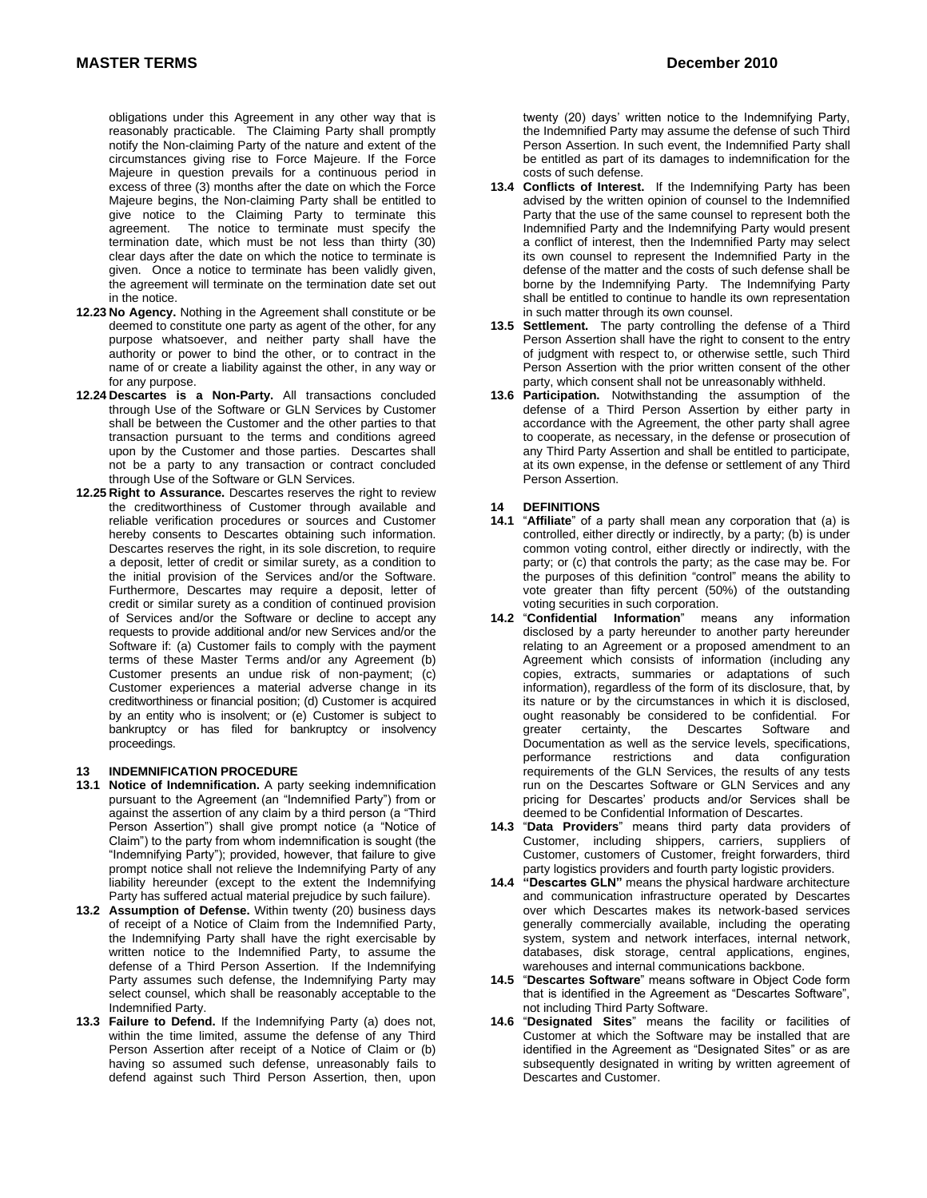obligations under this Agreement in any other way that is reasonably practicable. The Claiming Party shall promptly notify the Non-claiming Party of the nature and extent of the circumstances giving rise to Force Majeure. If the Force Majeure in question prevails for a continuous period in excess of three (3) months after the date on which the Force Majeure begins, the Non-claiming Party shall be entitled to give notice to the Claiming Party to terminate this agreement. The notice to terminate must specify the termination date, which must be not less than thirty (30) clear days after the date on which the notice to terminate is given. Once a notice to terminate has been validly given, the agreement will terminate on the termination date set out in the notice.

- **12.23 No Agency.** Nothing in the Agreement shall constitute or be deemed to constitute one party as agent of the other, for any purpose whatsoever, and neither party shall have the authority or power to bind the other, or to contract in the name of or create a liability against the other, in any way or for any purpose.
- **12.24 Descartes is a Non-Party.** All transactions concluded through Use of the Software or GLN Services by Customer shall be between the Customer and the other parties to that transaction pursuant to the terms and conditions agreed upon by the Customer and those parties. Descartes shall not be a party to any transaction or contract concluded through Use of the Software or GLN Services.
- **12.25 Right to Assurance.** Descartes reserves the right to review the creditworthiness of Customer through available and reliable verification procedures or sources and Customer hereby consents to Descartes obtaining such information. Descartes reserves the right, in its sole discretion, to require a deposit, letter of credit or similar surety, as a condition to the initial provision of the Services and/or the Software. Furthermore, Descartes may require a deposit, letter of credit or similar surety as a condition of continued provision of Services and/or the Software or decline to accept any requests to provide additional and/or new Services and/or the Software if: (a) Customer fails to comply with the payment terms of these Master Terms and/or any Agreement (b) Customer presents an undue risk of non-payment; (c) Customer experiences a material adverse change in its creditworthiness or financial position; (d) Customer is acquired by an entity who is insolvent; or (e) Customer is subject to bankruptcy or has filed for bankruptcy or insolvency proceedings.

## **13 INDEMNIFICATION PROCEDURE**

- **13.1 Notice of Indemnification.** A party seeking indemnification pursuant to the Agreement (an "Indemnified Party") from or against the assertion of any claim by a third person (a "Third Person Assertion") shall give prompt notice (a "Notice of Claim") to the party from whom indemnification is sought (the "Indemnifying Party"); provided, however, that failure to give prompt notice shall not relieve the Indemnifying Party of any liability hereunder (except to the extent the Indemnifying Party has suffered actual material prejudice by such failure).
- **13.2 Assumption of Defense.** Within twenty (20) business days of receipt of a Notice of Claim from the Indemnified Party, the Indemnifying Party shall have the right exercisable by written notice to the Indemnified Party, to assume the defense of a Third Person Assertion. If the Indemnifying Party assumes such defense, the Indemnifying Party may select counsel, which shall be reasonably acceptable to the Indemnified Party.
- **13.3 Failure to Defend.** If the Indemnifying Party (a) does not, within the time limited, assume the defense of any Third Person Assertion after receipt of a Notice of Claim or (b) having so assumed such defense, unreasonably fails to defend against such Third Person Assertion, then, upon
- **13.4 Conflicts of Interest.** If the Indemnifying Party has been advised by the written opinion of counsel to the Indemnified Party that the use of the same counsel to represent both the Indemnified Party and the Indemnifying Party would present a conflict of interest, then the Indemnified Party may select its own counsel to represent the Indemnified Party in the defense of the matter and the costs of such defense shall be borne by the Indemnifying Party. The Indemnifying Party shall be entitled to continue to handle its own representation in such matter through its own counsel.
- **13.5 Settlement.** The party controlling the defense of a Third Person Assertion shall have the right to consent to the entry of judgment with respect to, or otherwise settle, such Third Person Assertion with the prior written consent of the other party, which consent shall not be unreasonably withheld.
- **13.6 Participation.** Notwithstanding the assumption of the defense of a Third Person Assertion by either party in accordance with the Agreement, the other party shall agree to cooperate, as necessary, in the defense or prosecution of any Third Party Assertion and shall be entitled to participate, at its own expense, in the defense or settlement of any Third Person Assertion.

### **14 DEFINITIONS**

- **14.1** "**Affiliate**" of a party shall mean any corporation that (a) is controlled, either directly or indirectly, by a party; (b) is under common voting control, either directly or indirectly, with the party; or (c) that controls the party; as the case may be. For the purposes of this definition "control" means the ability to vote greater than fifty percent (50%) of the outstanding voting securities in such corporation.
- **14.2** "**Confidential Information**" means any information disclosed by a party hereunder to another party hereunder relating to an Agreement or a proposed amendment to an Agreement which consists of information (including any copies, extracts, summaries or adaptations of such information), regardless of the form of its disclosure, that, by its nature or by the circumstances in which it is disclosed, ought reasonably be considered to be confidential. For greater certainty, the Descartes Software and certainty, the Descartes Software and Documentation as well as the service levels, specifications, performance restrictions and data configuration requirements of the GLN Services, the results of any tests run on the Descartes Software or GLN Services and any pricing for Descartes' products and/or Services shall be deemed to be Confidential Information of Descartes.
- **14.3** "**Data Providers**" means third party data providers of Customer, including shippers, carriers, suppliers of Customer, customers of Customer, freight forwarders, third party logistics providers and fourth party logistic providers.
- **14.4 "Descartes GLN"** means the physical hardware architecture and communication infrastructure operated by Descartes over which Descartes makes its network-based services generally commercially available, including the operating system, system and network interfaces, internal network, databases, disk storage, central applications, engines, warehouses and internal communications backbone.
- **14.5** "**Descartes Software**" means software in Object Code form that is identified in the Agreement as "Descartes Software", not including Third Party Software.
- **14.6** "**Designated Sites**" means the facility or facilities of Customer at which the Software may be installed that are identified in the Agreement as "Designated Sites" or as are subsequently designated in writing by written agreement of Descartes and Customer.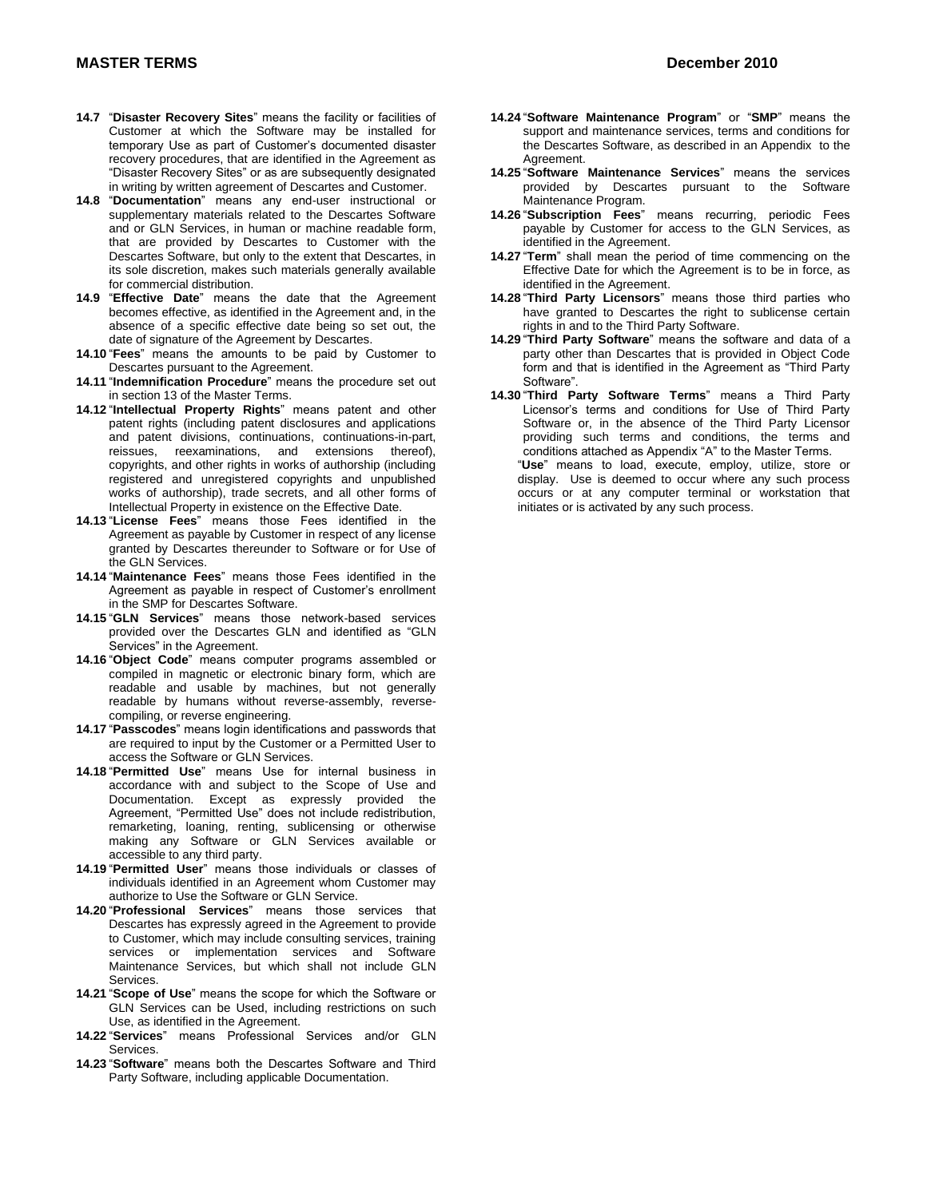- **14.7** "**Disaster Recovery Sites**" means the facility or facilities of Customer at which the Software may be installed for temporary Use as part of Customer's documented disaster recovery procedures, that are identified in the Agreement as "Disaster Recovery Sites" or as are subsequently designated in writing by written agreement of Descartes and Customer.
- **14.8** "**Documentation**" means any end-user instructional or supplementary materials related to the Descartes Software and or GLN Services, in human or machine readable form, that are provided by Descartes to Customer with the Descartes Software, but only to the extent that Descartes, in its sole discretion, makes such materials generally available for commercial distribution.
- **14.9** "**Effective Date**" means the date that the Agreement becomes effective, as identified in the Agreement and, in the absence of a specific effective date being so set out, the date of signature of the Agreement by Descartes.
- **14.10** "**Fees**" means the amounts to be paid by Customer to Descartes pursuant to the Agreement.
- **14.11** "**Indemnification Procedure**" means the procedure set out in section 13 of the Master Terms.
- **14.12** "**Intellectual Property Rights**" means patent and other patent rights (including patent disclosures and applications and patent divisions, continuations, continuations-in-part, reissues, reexaminations, and extensions thereof), copyrights, and other rights in works of authorship (including registered and unregistered copyrights and unpublished works of authorship), trade secrets, and all other forms of Intellectual Property in existence on the Effective Date.
- **14.13** "**License Fees**" means those Fees identified in the Agreement as payable by Customer in respect of any license granted by Descartes thereunder to Software or for Use of the GLN Services.
- **14.14** "**Maintenance Fees**" means those Fees identified in the Agreement as payable in respect of Customer's enrollment in the SMP for Descartes Software.
- **14.15** "**GLN Services**" means those network-based services provided over the Descartes GLN and identified as "GLN Services" in the Agreement.
- **14.16** "**Object Code**" means computer programs assembled or compiled in magnetic or electronic binary form, which are readable and usable by machines, but not generally readable by humans without reverse-assembly, reversecompiling, or reverse engineering.
- **14.17** "**Passcodes**" means login identifications and passwords that are required to input by the Customer or a Permitted User to access the Software or GLN Services.
- **14.18** "**Permitted Use**" means Use for internal business in accordance with and subject to the Scope of Use and Documentation. Except as expressly provided the Agreement, "Permitted Use" does not include redistribution, remarketing, loaning, renting, sublicensing or otherwise making any Software or GLN Services available or accessible to any third party.
- **14.19** "**Permitted User**" means those individuals or classes of individuals identified in an Agreement whom Customer may authorize to Use the Software or GLN Service.
- **14.20** "**Professional Services**" means those services that Descartes has expressly agreed in the Agreement to provide to Customer, which may include consulting services, training services or implementation services and Software Maintenance Services, but which shall not include GLN Services.
- **14.21** "**Scope of Use**" means the scope for which the Software or GLN Services can be Used, including restrictions on such Use, as identified in the Agreement.
- **14.22** "**Services**" means Professional Services and/or GLN Services.
- **14.23** "**Software**" means both the Descartes Software and Third Party Software, including applicable Documentation.
- **14.24** "**Software Maintenance Program**" or "**SMP**" means the support and maintenance services, terms and conditions for the Descartes Software, as described in an Appendix to the Agreement.
- **14.25** "**Software Maintenance Services**" means the services provided by Descartes pursuant to the Software Maintenance Program.
- **14.26** "**Subscription Fees**" means recurring, periodic Fees payable by Customer for access to the GLN Services, as identified in the Agreement.
- **14.27** "**Term**" shall mean the period of time commencing on the Effective Date for which the Agreement is to be in force, as identified in the Agreement.
- **14.28** "**Third Party Licensors**" means those third parties who have granted to Descartes the right to sublicense certain rights in and to the Third Party Software.
- **14.29** "**Third Party Software**" means the software and data of a party other than Descartes that is provided in Object Code form and that is identified in the Agreement as "Third Party Software".
- **14.30** "**Third Party Software Terms**" means a Third Party Licensor's terms and conditions for Use of Third Party Software or, in the absence of the Third Party Licensor providing such terms and conditions, the terms and conditions attached as Appendix "A" to the Master Terms. "**Use**" means to load, execute, employ, utilize, store or

display. Use is deemed to occur where any such process occurs or at any computer terminal or workstation that initiates or is activated by any such process.